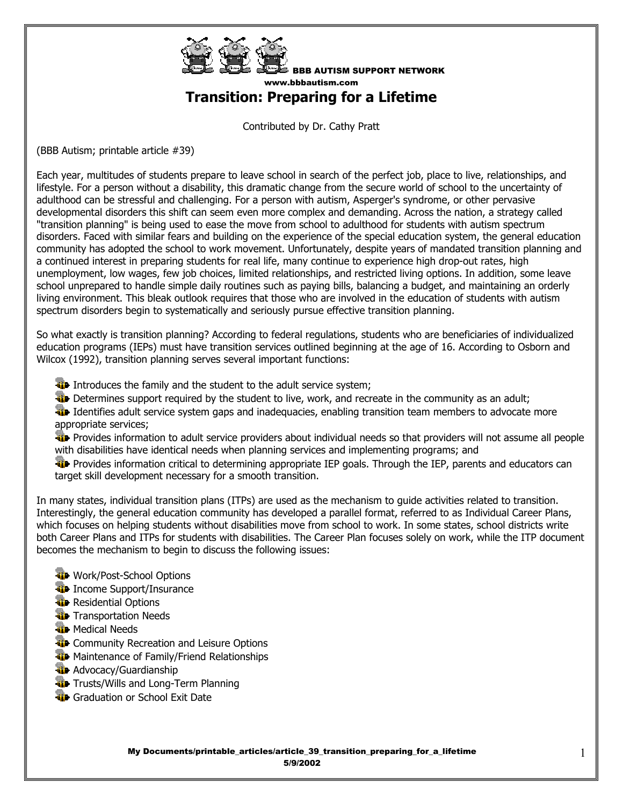

BBB AUTISM SUPPORT NETWORK www.bbbautism.com

**Transition: Preparing for a Lifetime** 

Contributed by Dr. Cathy Pratt

(BBB Autism; printable article #39)

Each year, multitudes of students prepare to leave school in search of the perfect job, place to live, relationships, and lifestyle. For a person without a disability, this dramatic change from the secure world of school to the uncertainty of adulthood can be stressful and challenging. For a person with autism, Asperger's syndrome, or other pervasive developmental disorders this shift can seem even more complex and demanding. Across the nation, a strategy called "transition planning" is being used to ease the move from school to adulthood for students with autism spectrum disorders. Faced with similar fears and building on the experience of the special education system, the general education community has adopted the school to work movement. Unfortunately, despite years of mandated transition planning and a continued interest in preparing students for real life, many continue to experience high drop-out rates, high unemployment, low wages, few job choices, limited relationships, and restricted living options. In addition, some leave school unprepared to handle simple daily routines such as paying bills, balancing a budget, and maintaining an orderly living environment. This bleak outlook requires that those who are involved in the education of students with autism spectrum disorders begin to systematically and seriously pursue effective transition planning.

So what exactly is transition planning? According to federal regulations, students who are beneficiaries of individualized education programs (IEPs) must have transition services outlined beginning at the age of 16. According to Osborn and Wilcox (1992), transition planning serves several important functions:

**ID** Introduces the family and the student to the adult service system;

Determines support required by the student to live, work, and recreate in the community as an adult;

ID Identifies adult service system gaps and inadequacies, enabling transition team members to advocate more appropriate services;

**Provides information to adult service providers about individual needs so that providers will not assume all people** with disabilities have identical needs when planning services and implementing programs; and

**Provides information critical to determining appropriate IEP goals. Through the IEP, parents and educators can** target skill development necessary for a smooth transition.

In many states, individual transition plans (ITPs) are used as the mechanism to guide activities related to transition. Interestingly, the general education community has developed a parallel format, referred to as Individual Career Plans, which focuses on helping students without disabilities move from school to work. In some states, school districts write both Career Plans and ITPs for students with disabilities. The Career Plan focuses solely on work, while the ITP document becomes the mechanism to begin to discuss the following issues:

- **Work/Post-School Options**
- **ID** Income Support/Insurance
- **Residential Options**
- **T**ransportation Needs
- **W** Medical Needs
- **T** Community Recreation and Leisure Options
- **We Maintenance of Family/Friend Relationships**
- **W** Advocacy/Guardianship
- **T** Trusts/Wills and Long-Term Planning
- **Graduation or School Exit Date**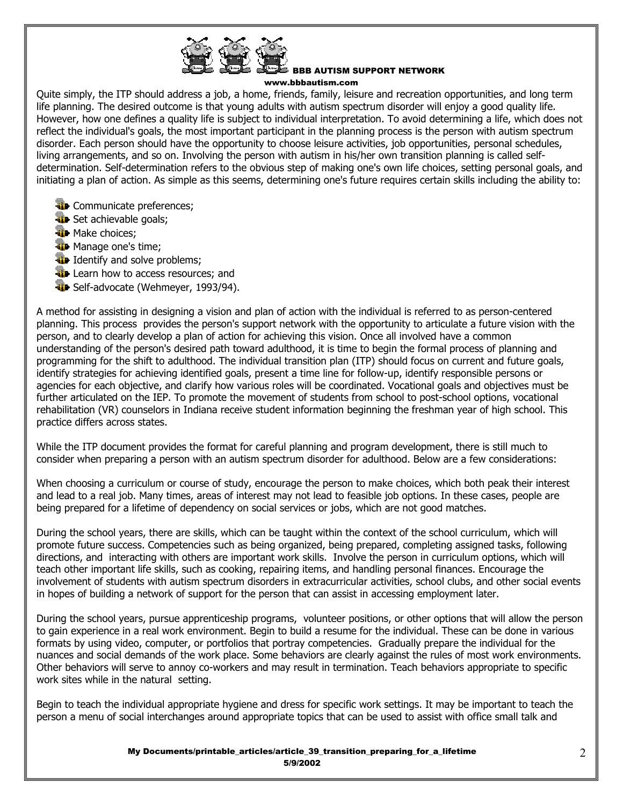

## BBB AUTISM SUPPORT NETWORK

www.bbbautism.com

Quite simply, the ITP should address a job, a home, friends, family, leisure and recreation opportunities, and long term life planning. The desired outcome is that young adults with autism spectrum disorder will enjoy a good quality life. However, how one defines a quality life is subject to individual interpretation. To avoid determining a life, which does not reflect the individual's goals, the most important participant in the planning process is the person with autism spectrum disorder. Each person should have the opportunity to choose leisure activities, job opportunities, personal schedules, living arrangements, and so on. Involving the person with autism in his/her own transition planning is called selfdetermination. Self-determination refers to the obvious step of making one's own life choices, setting personal goals, and initiating a plan of action. As simple as this seems, determining one's future requires certain skills including the ability to:

- **T** Communicate preferences;
- Set achievable goals;
- **W** Make choices;
- **W** Manage one's time;
- **ID** Identify and solve problems;
- **Learn how to access resources; and**
- **The Self-advocate (Wehmeyer, 1993/94).**

A method for assisting in designing a vision and plan of action with the individual is referred to as person-centered planning. This process provides the person's support network with the opportunity to articulate a future vision with the person, and to clearly develop a plan of action for achieving this vision. Once all involved have a common understanding of the person's desired path toward adulthood, it is time to begin the formal process of planning and programming for the shift to adulthood. The individual transition plan (ITP) should focus on current and future goals, identify strategies for achieving identified goals, present a time line for follow-up, identify responsible persons or agencies for each objective, and clarify how various roles will be coordinated. Vocational goals and objectives must be further articulated on the IEP. To promote the movement of students from school to post-school options, vocational rehabilitation (VR) counselors in Indiana receive student information beginning the freshman year of high school. This practice differs across states.

While the ITP document provides the format for careful planning and program development, there is still much to consider when preparing a person with an autism spectrum disorder for adulthood. Below are a few considerations:

When choosing a curriculum or course of study, encourage the person to make choices, which both peak their interest and lead to a real job. Many times, areas of interest may not lead to feasible job options. In these cases, people are being prepared for a lifetime of dependency on social services or jobs, which are not good matches.

During the school years, there are skills, which can be taught within the context of the school curriculum, which will promote future success. Competencies such as being organized, being prepared, completing assigned tasks, following directions, and interacting with others are important work skills. Involve the person in curriculum options, which will teach other important life skills, such as cooking, repairing items, and handling personal finances. Encourage the involvement of students with autism spectrum disorders in extracurricular activities, school clubs, and other social events in hopes of building a network of support for the person that can assist in accessing employment later.

During the school years, pursue apprenticeship programs, volunteer positions, or other options that will allow the person to gain experience in a real work environment. Begin to build a resume for the individual. These can be done in various formats by using video, computer, or portfolios that portray competencies. Gradually prepare the individual for the nuances and social demands of the work place. Some behaviors are clearly against the rules of most work environments. Other behaviors will serve to annoy co-workers and may result in termination. Teach behaviors appropriate to specific work sites while in the natural setting.

Begin to teach the individual appropriate hygiene and dress for specific work settings. It may be important to teach the person a menu of social interchanges around appropriate topics that can be used to assist with office small talk and